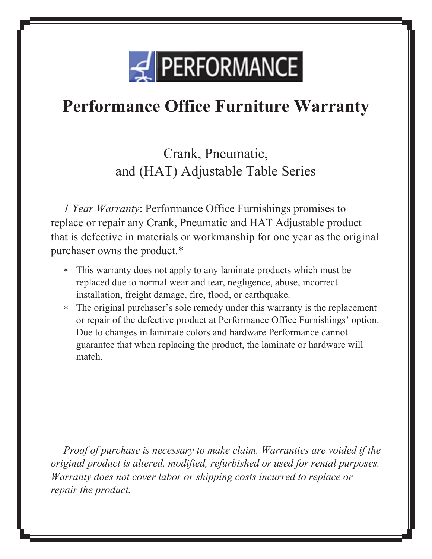

Crank, Pneumatic, and (HAT) Adjustable Table Series

*1 Year Warranty*: Performance Office Furnishings promises to replace or repair any Crank, Pneumatic and HAT Adjustable product that is defective in materials or workmanship for one year as the original purchaser owns the product.\*

- This warranty does not apply to any laminate products which must be replaced due to normal wear and tear, negligence, abuse, incorrect installation, freight damage, fire, flood, or earthquake.
- The original purchaser's sole remedy under this warranty is the replacement or repair of the defective product at Performance Office Furnishings' option. Due to changes in laminate colors and hardware Performance cannot guarantee that when replacing the product, the laminate or hardware will match.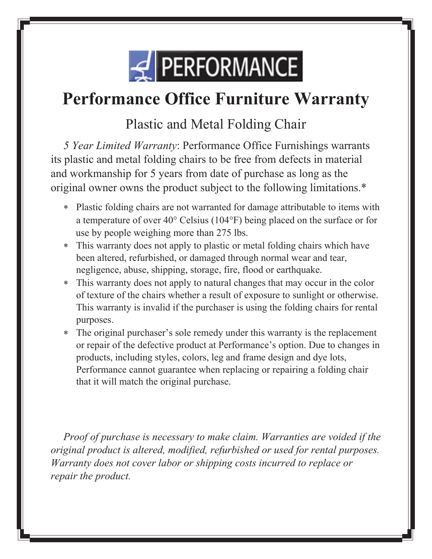

#### Plastic and Metal Folding Chair

*5 Year Limited Warranty*: Performance Office Furnishings warrants its plastic and metal folding chairs to be free from defects in material and workmanship for 5 years from date of purchase as long as the original owner owns the product subject to the following limitations.\*

- Plastic folding chairs are not warranted for damage attributable to items with a temperature of over  $40^{\circ}$  Celsius (104 $^{\circ}$ F) being placed on the surface or for use by people weighing more than 275 lbs.
- This warranty does not apply to plastic or metal folding chairs which have been altered, refurbished, or damaged through normal wear and tear, negligence, abuse, shipping, storage, fire, flood or earthquake.
- This warranty does not apply to natural changes that may occur in the color of texture of the chairs whether a result of exposure to sunlight or otherwise. This warranty is invalid if the purchaser is using the folding chairs for rental purposes.
- The original purchaser's sole remedy under this warranty is the replacement or repair of the defective product at Performance's option. Due to changes in products, including styles, colors, leg and frame design and dye lots, Performance cannot guarantee when replacing or repairing a folding chair that it will match the original purchase.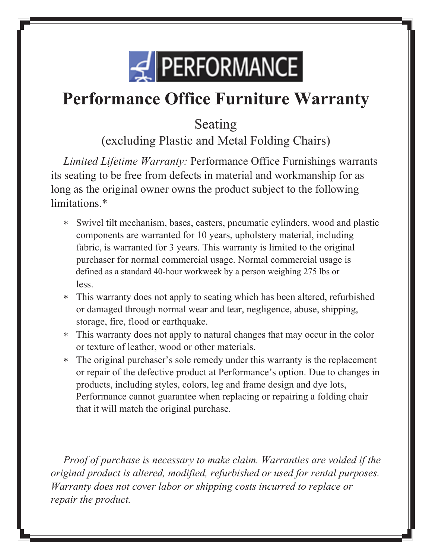

Seating

(excluding Plastic and Metal Folding Chairs)

*Limited Lifetime Warranty:* Performance Office Furnishings warrants its seating to be free from defects in material and workmanship for as long as the original owner owns the product subject to the following limitations.\*

- Swivel tilt mechanism, bases, casters, pneumatic cylinders, wood and plastic components are warranted for 10 years, upholstery material, including fabric, is warranted for 3 years. This warranty is limited to the original purchaser for normal commercial usage. Normal commercial usage is defined as a standard 40-hour workweek by a person weighing 275 lbs or less.
- This warranty does not apply to seating which has been altered, refurbished or damaged through normal wear and tear, negligence, abuse, shipping, storage, fire, flood or earthquake.
- This warranty does not apply to natural changes that may occur in the color or texture of leather, wood or other materials.
- The original purchaser's sole remedy under this warranty is the replacement or repair of the defective product at Performance's option. Due to changes in products, including styles, colors, leg and frame design and dye lots, Performance cannot guarantee when replacing or repairing a folding chair that it will match the original purchase.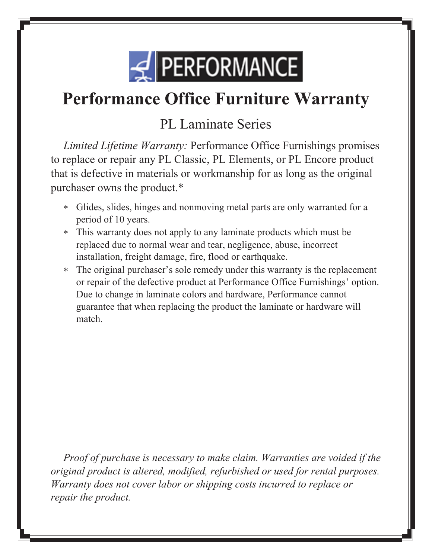

#### PL Laminate Series

*Limited Lifetime Warranty:* Performance Office Furnishings promises to replace or repair any PL Classic, PL Elements, or PL Encore product that is defective in materials or workmanship for as long as the original purchaser owns the product.\*

- Glides, slides, hinges and nonmoving metal parts are only warranted for a period of 10 years.
- This warranty does not apply to any laminate products which must be replaced due to normal wear and tear, negligence, abuse, incorrect installation, freight damage, fire, flood or earthquake.
- The original purchaser's sole remedy under this warranty is the replacement or repair of the defective product at Performance Office Furnishings' option. Due to change in laminate colors and hardware, Performance cannot guarantee that when replacing the product the laminate or hardware will match.